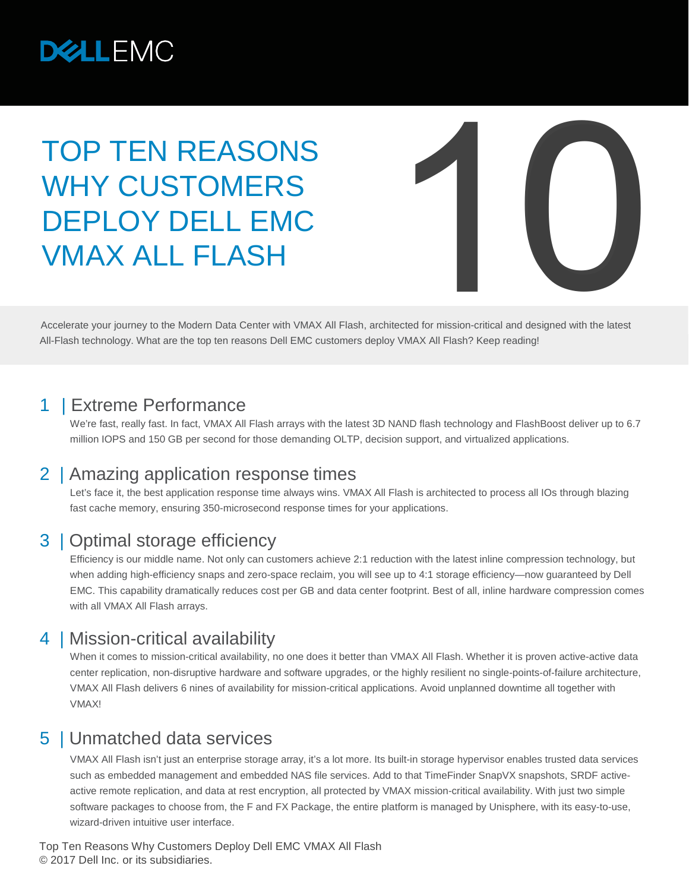

# TOP TEN REASONS WHY CUSTOMERS DEPLOY DELL EMC VMAX ALL FLASH



Accelerate your journey to the Modern Data Center with VMAX All Flash, architected for mission-critical and designed with the latest All-Flash technology. What are the top ten reasons Dell EMC customers deploy VMAX All Flash? Keep reading!

#### | Extreme Performance

We're fast, really fast. In fact, VMAX All Flash arrays with the latest 3D NAND flash technology and FlashBoost deliver up to 6.7 million IOPS and 150 GB per second for those demanding OLTP, decision support, and virtualized applications.

#### 2 | Amazing application response times

Let's face it, the best application response time always wins. VMAX All Flash is architected to process all IOs through blazing fast cache memory, ensuring 350-microsecond response times for your applications.

#### 3 | Optimal storage efficiency

Efficiency is our middle name. Not only can customers achieve 2:1 reduction with the latest inline compression technology, but when adding high-efficiency snaps and zero-space reclaim, you will see up to 4:1 storage efficiency—now guaranteed by Dell EMC. This capability dramatically reduces cost per GB and data center footprint. Best of all, inline hardware compression comes with all VMAX All Flash arrays.

## 4 | Mission-critical availability

When it comes to mission-critical availability, no one does it better than VMAX All Flash. Whether it is proven active-active data center replication, non-disruptive hardware and software upgrades, or the highly resilient no single-points-of-failure architecture, VMAX All Flash delivers 6 nines of availability for mission-critical applications. Avoid unplanned downtime all together with VMAX!

## 5 | Unmatched data services

VMAX All Flash isn't just an enterprise storage array, it's a lot more. Its built-in storage hypervisor enables trusted data services such as embedded management and embedded NAS file services. Add to that TimeFinder SnapVX snapshots, SRDF activeactive remote replication, and data at rest encryption, all protected by VMAX mission-critical availability. With just two simple software packages to choose from, the F and FX Package, the entire platform is managed by Unisphere, with its easy-to-use, wizard-driven intuitive user interface.

Top Ten Reasons Why Customers Deploy Dell EMC VMAX All Flash © 2017 Dell Inc. or its subsidiaries.